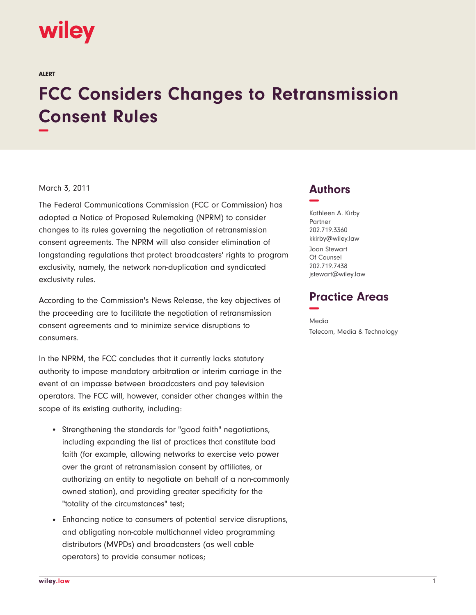# wiley

ALERT

# **FCC Considers Changes to Retransmission Consent Rules −**

#### March 3, 2011

The Federal Communications Commission (FCC or Commission) has adopted a Notice of Proposed Rulemaking (NPRM) to consider changes to its rules governing the negotiation of retransmission consent agreements. The NPRM will also consider elimination of longstanding regulations that protect broadcasters' rights to program exclusivity, namely, the network non-duplication and syndicated exclusivity rules.

According to the Commission's News Release, the key objectives of the proceeding are to facilitate the negotiation of retransmission consent agreements and to minimize service disruptions to consumers.

In the NPRM, the FCC concludes that it currently lacks statutory authority to impose mandatory arbitration or interim carriage in the event of an impasse between broadcasters and pay television operators. The FCC will, however, consider other changes within the scope of its existing authority, including:

- Strengthening the standards for "good faith" negotiations, including expanding the list of practices that constitute bad faith (for example, allowing networks to exercise veto power over the grant of retransmission consent by affiliates, or authorizing an entity to negotiate on behalf of a non-commonly owned station), and providing greater specificity for the "totality of the circumstances" test;
- Enhancing notice to consumers of potential service disruptions, and obligating non-cable multichannel video programming distributors (MVPDs) and broadcasters (as well cable operators) to provide consumer notices;

## **Authors −**

Kathleen A. Kirby Partner 202.719.3360 kkirby@wiley.law Joan Stewart

Of Counsel 202.719.7438 jstewart@wiley.law

### **Practice Areas −**

Media Telecom, Media & Technology